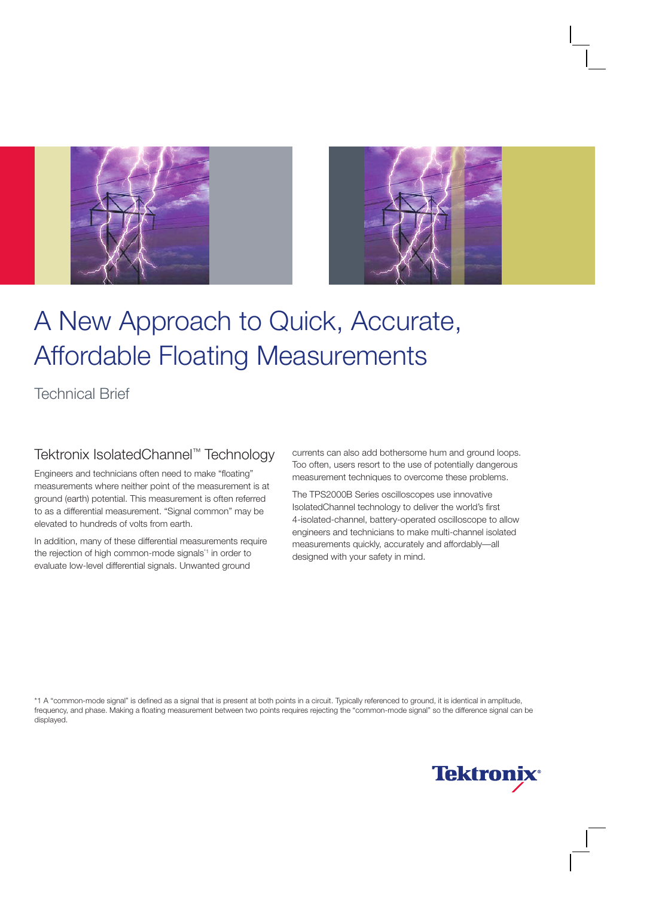



# A New Approach to Quick, Accurate, Affordable Floating Measurements

### Technical Brief

### Tektronix IsolatedChannel™ Technology

Engineers and technicians often need to make "floating" measurements where neither point of the measurement is at ground (earth) potential. This measurement is often referred to as a differential measurement. "Signal common" may be elevated to hundreds of volts from earth.

In addition, many of these differential measurements require the rejection of high common-mode signals\*1 in order to evaluate low-level differential signals. Unwanted ground

currents can also add bothersome hum and ground loops. Too often, users resort to the use of potentially dangerous measurement techniques to overcome these problems.

The TPS2000B Series oscilloscopes use innovative IsolatedChannel technology to deliver the world's first 4-isolated-channel, battery-operated oscilloscope to allow engineers and technicians to make multi-channel isolated measurements quickly, accurately and affordably—all designed with your safety in mind.

\*1 A "common-mode signal" is defined as a signal that is present at both points in a circuit. Typically referenced to ground, it is identical in amplitude, frequency, and phase. Making a floating measurement between two points requires rejecting the "common-mode signal" so the difference signal can be displayed.

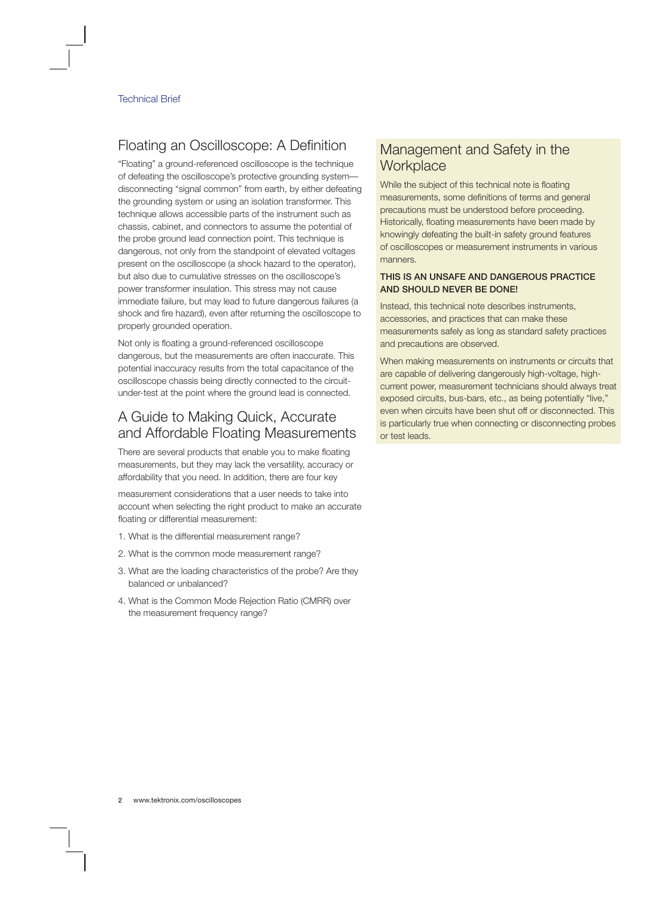# Floating an Oscilloscope: A Definition

"Floating" a ground-referenced oscilloscope is the technique of defeating the oscilloscope's protective grounding system disconnecting "signal common" from earth, by either defeating the grounding system or using an isolation transformer. This technique allows accessible parts of the instrument such as chassis, cabinet, and connectors to assume the potential of the probe ground lead connection point. This technique is dangerous, not only from the standpoint of elevated voltages present on the oscilloscope (a shock hazard to the operator), but also due to cumulative stresses on the oscilloscope's power transformer insulation. This stress may not cause immediate failure, but may lead to future dangerous failures (a shock and fire hazard), even after returning the oscilloscope to properly grounded operation.

Not only is floating a ground-referenced oscilloscope dangerous, but the measurements are often inaccurate. This potential inaccuracy results from the total capacitance of the oscilloscope chassis being directly connected to the circuitunder-test at the point where the ground lead is connected.

### A Guide to Making Quick, Accurate and Affordable Floating Measurements

There are several products that enable you to make floating measurements, but they may lack the versatility, accuracy or affordability that you need. In addition, there are four key

measurement considerations that a user needs to take into account when selecting the right product to make an accurate floating or differential measurement:

- 1. What is the differential measurement range?
- 2. What is the common mode measurement range?
- 3. What are the loading characteristics of the probe? Are they balanced or unbalanced?
- 4. What is the Common Mode Rejection Ratio (CMRR) over the measurement frequency range?

### Management and Safety in the **Workplace**

While the subject of this technical note is floating measurements, some definitions of terms and general precautions must be understood before proceeding. Historically, floating measurements have been made by knowingly defeating the built-in safety ground features of oscilloscopes or measurement instruments in various manners.

#### THIS IS AN UNSAFE AND DANGEROUS PRACTICE AND SHOULD NEVER BE DONE!

Instead, this technical note describes instruments, accessories, and practices that can make these measurements safely as long as standard safety practices and precautions are observed.

When making measurements on instruments or circuits that are capable of delivering dangerously high-voltage, highcurrent power, measurement technicians should always treat exposed circuits, bus-bars, etc., as being potentially "live," even when circuits have been shut off or disconnected. This is particularly true when connecting or disconnecting probes or test leads.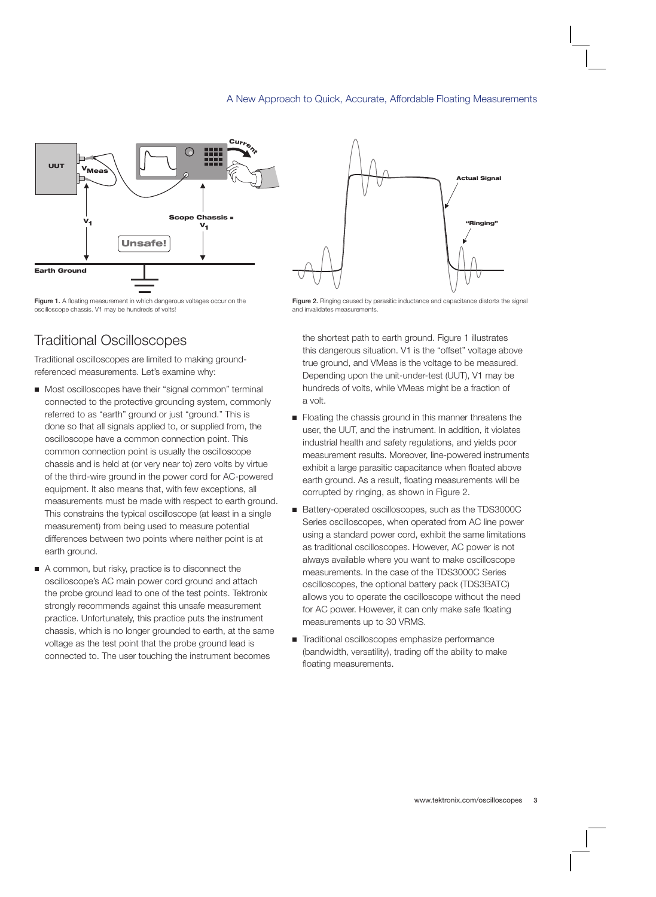

Figure 1. A floating measurement in which dangerous voltages occur on the oscilloscope chassis. V1 may be hundreds of volts!

# Traditional Oscilloscopes

Traditional oscilloscopes are limited to making groundreferenced measurements. Let's examine why:

- Most oscilloscopes have their "signal common" terminal connected to the protective grounding system, commonly referred to as "earth" ground or just "ground." This is done so that all signals applied to, or supplied from, the oscilloscope have a common connection point. This common connection point is usually the oscilloscope chassis and is held at (or very near to) zero volts by virtue of the third-wire ground in the power cord for AC-powered equipment. It also means that, with few exceptions, all measurements must be made with respect to earth ground. This constrains the typical oscilloscope (at least in a single measurement) from being used to measure potential differences between two points where neither point is at earth ground.
- A common, but risky, practice is to disconnect the oscilloscope's AC main power cord ground and attach the probe ground lead to one of the test points. Tektronix strongly recommends against this unsafe measurement practice. Unfortunately, this practice puts the instrument chassis, which is no longer grounded to earth, at the same voltage as the test point that the probe ground lead is connected to. The user touching the instrument becomes



Figure 2. Ringing caused by parasitic inductance and capacitance distorts the signal and invalidates measurements.

the shortest path to earth ground. Figure 1 illustrates this dangerous situation. V1 is the "offset" voltage above true ground, and VMeas is the voltage to be measured. Depending upon the unit-under-test (UUT), V1 may be hundreds of volts, while VMeas might be a fraction of a volt.

- **Floating the chassis ground in this manner threatens the** user, the UUT, and the instrument. In addition, it violates industrial health and safety regulations, and yields poor measurement results. Moreover, line-powered instruments exhibit a large parasitic capacitance when floated above earth ground. As a result, floating measurements will be corrupted by ringing, as shown in Figure 2.
- Battery-operated oscilloscopes, such as the TDS3000C Series oscilloscopes, when operated from AC line power using a standard power cord, exhibit the same limitations as traditional oscilloscopes. However, AC power is not always available where you want to make oscilloscope measurements. In the case of the TDS3000C Series oscilloscopes, the optional battery pack (TDS3BATC) allows you to operate the oscilloscope without the need for AC power. However, it can only make safe floating measurements up to 30 VRMS.
- Traditional oscilloscopes emphasize performance (bandwidth, versatility), trading off the ability to make floating measurements.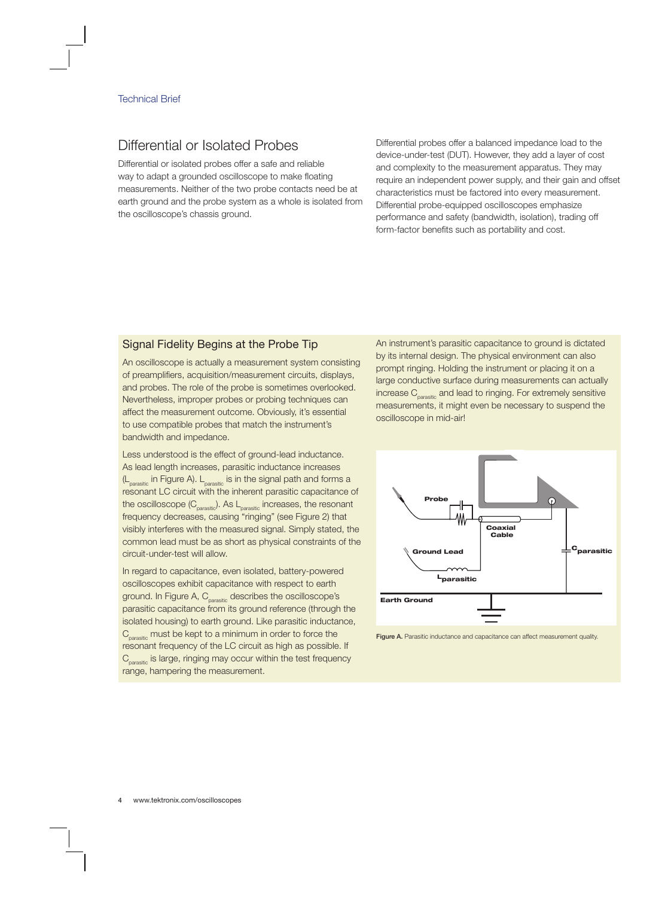### Differential or Isolated Probes

Differential or isolated probes offer a safe and reliable way to adapt a grounded oscilloscope to make floating measurements. Neither of the two probe contacts need be at earth ground and the probe system as a whole is isolated from the oscilloscope's chassis ground.

Differential probes offer a balanced impedance load to the device-under-test (DUT). However, they add a layer of cost and complexity to the measurement apparatus. They may require an independent power supply, and their gain and offset characteristics must be factored into every measurement. Differential probe-equipped oscilloscopes emphasize performance and safety (bandwidth, isolation), trading off form-factor benefits such as portability and cost.

#### Signal Fidelity Begins at the Probe Tip

An oscilloscope is actually a measurement system consisting of preamplifiers, acquisition/measurement circuits, displays, and probes. The role of the probe is sometimes overlooked. Nevertheless, improper probes or probing techniques can affect the measurement outcome. Obviously, it's essential to use compatible probes that match the instrument's bandwidth and impedance.

Less understood is the effect of ground-lead inductance. As lead length increases, parasitic inductance increases  $(L<sub>parasific</sub>$  in Figure A).  $L<sub>parasitic</sub>$  is in the signal path and forms a resonant LC circuit with the inherent parasitic capacitance of the oscilloscope  $(C_{\text{parasitic}})$ . As  $L_{\text{parasitic}}$  increases, the resonant frequency decreases, causing "ringing" (see Figure 2) that visibly interferes with the measured signal. Simply stated, the common lead must be as short as physical constraints of the circuit-under-test will allow.

In regard to capacitance, even isolated, battery-powered oscilloscopes exhibit capacitance with respect to earth ground. In Figure A, C<sub>parasitic</sub> describes the oscilloscope's parasitic capacitance from its ground reference (through the isolated housing) to earth ground. Like parasitic inductance,  $C_{\text{parasitic}}$  must be kept to a minimum in order to force the resonant frequency of the LC circuit as high as possible. If  $C_{\text{parasitic}}$  is large, ringing may occur within the test frequency range, hampering the measurement.

An instrument's parasitic capacitance to ground is dictated by its internal design. The physical environment can also prompt ringing. Holding the instrument or placing it on a large conductive surface during measurements can actually increase C<sub>parasitic</sub> and lead to ringing. For extremely sensitive measurements, it might even be necessary to suspend the oscilloscope in mid-air!



Figure A. Parasitic inductance and capacitance can affect measurement quality.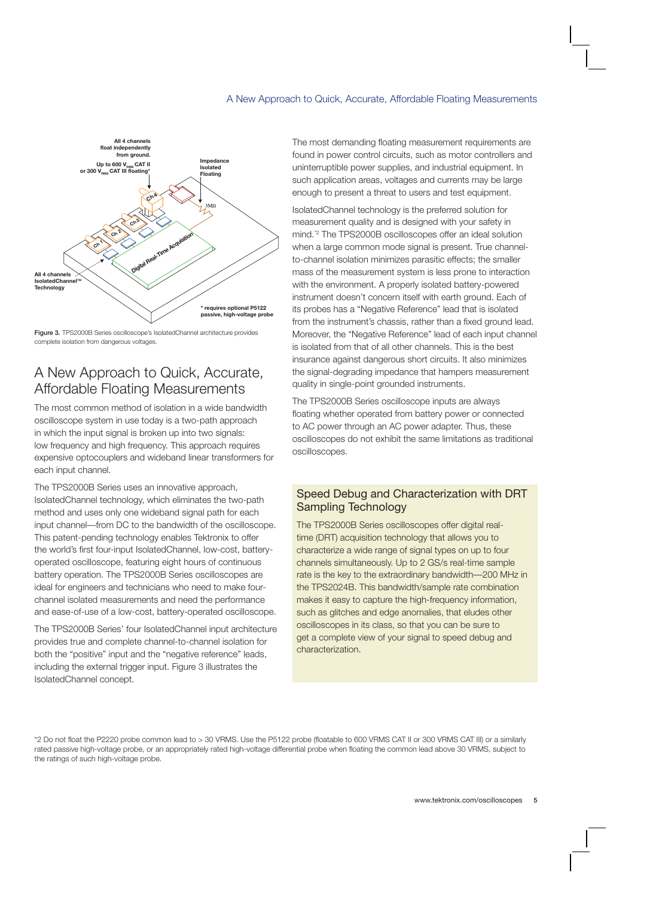

Figure 3. TPS2000B Series oscilloscope's IsolatedChannel architecture provides complete isolation from dangerous voltages.

### A New Approach to Quick, Accurate, Affordable Floating Measurements

The most common method of isolation in a wide bandwidth oscilloscope system in use today is a two-path approach in which the input signal is broken up into two signals: low frequency and high frequency. This approach requires expensive optocouplers and wideband linear transformers for each input channel.

The TPS2000B Series uses an innovative approach, IsolatedChannel technology, which eliminates the two-path method and uses only one wideband signal path for each input channel—from DC to the bandwidth of the oscilloscope. This patent-pending technology enables Tektronix to offer the world's first four-input IsolatedChannel, low-cost, batteryoperated oscilloscope, featuring eight hours of continuous battery operation. The TPS2000B Series oscilloscopes are ideal for engineers and technicians who need to make fourchannel isolated measurements and need the performance and ease-of-use of a low-cost, battery-operated oscilloscope.

The TPS2000B Series' four IsolatedChannel input architecture provides true and complete channel-to-channel isolation for both the "positive" input and the "negative reference" leads, including the external trigger input. Figure 3 illustrates the IsolatedChannel concept.

The most demanding floating measurement requirements are found in power control circuits, such as motor controllers and uninterruptible power supplies, and industrial equipment. In such application areas, voltages and currents may be large enough to present a threat to users and test equipment.

IsolatedChannel technology is the preferred solution for measurement quality and is designed with your safety in mind.\*2 The TPS2000B oscilloscopes offer an ideal solution when a large common mode signal is present. True channelto-channel isolation minimizes parasitic effects; the smaller mass of the measurement system is less prone to interaction with the environment. A properly isolated battery-powered instrument doesn't concern itself with earth ground. Each of its probes has a "Negative Reference" lead that is isolated from the instrument's chassis, rather than a fixed ground lead. Moreover, the "Negative Reference" lead of each input channel is isolated from that of all other channels. This is the best insurance against dangerous short circuits. It also minimizes the signal-degrading impedance that hampers measurement quality in single-point grounded instruments.

The TPS2000B Series oscilloscope inputs are always floating whether operated from battery power or connected to AC power through an AC power adapter. Thus, these oscilloscopes do not exhibit the same limitations as traditional oscilloscopes.

#### Speed Debug and Characterization with DRT Sampling Technology

The TPS2000B Series oscilloscopes offer digital realtime (DRT) acquisition technology that allows you to characterize a wide range of signal types on up to four channels simultaneously. Up to 2 GS/s real-time sample rate is the key to the extraordinary bandwidth—200 MHz in the TPS2024B. This bandwidth/sample rate combination makes it easy to capture the high-frequency information, such as glitches and edge anomalies, that eludes other oscilloscopes in its class, so that you can be sure to get a complete view of your signal to speed debug and characterization.

\*2 Do not float the P2220 probe common lead to > 30 VRMS. Use the P5122 probe (floatable to 600 VRMS CAT II or 300 VRMS CAT III) or a similarly rated passive high-voltage probe, or an appropriately rated high-voltage differential probe when floating the common lead above 30 VRMS, subject to the ratings of such high-voltage probe.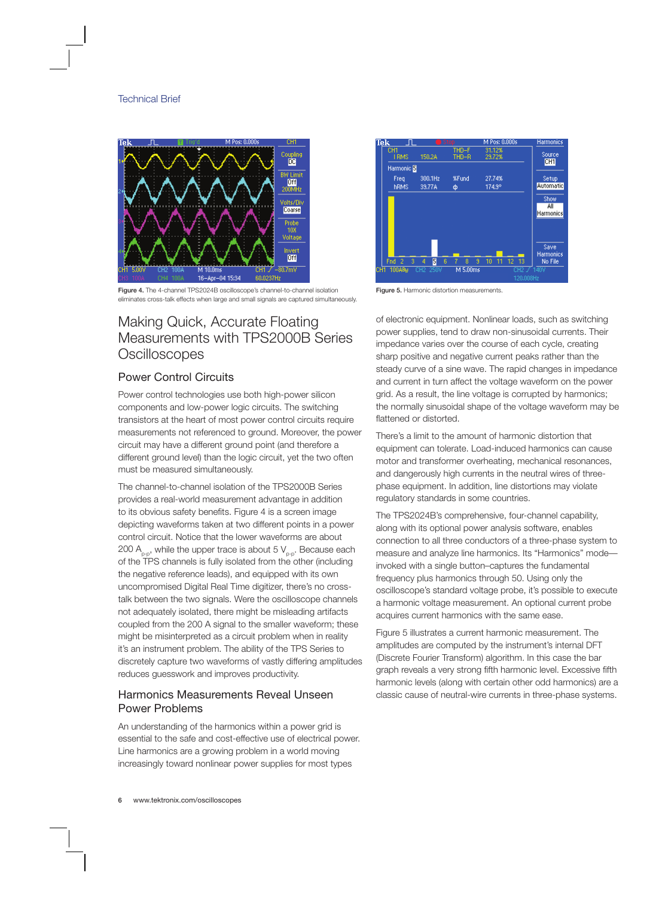

Figure 4. The 4-channel TPS2024B oscilloscope's channel-to-channel isolation eliminates cross-talk effects when large and small signals are captured simultaneously.

### Making Quick, Accurate Floating Measurements with TPS2000B Series **Oscilloscopes**

#### Power Control Circuits

Power control technologies use both high-power silicon components and low-power logic circuits. The switching transistors at the heart of most power control circuits require measurements not referenced to ground. Moreover, the power circuit may have a different ground point (and therefore a different ground level) than the logic circuit, yet the two often must be measured simultaneously.

The channel-to-channel isolation of the TPS2000B Series provides a real-world measurement advantage in addition to its obvious safety benefits. Figure 4 is a screen image depicting waveforms taken at two different points in a power control circuit. Notice that the lower waveforms are about 200  $A_{p-p}$ , while the upper trace is about 5  $V_{p-p}$ . Because each of the TPS channels is fully isolated from the other (including the negative reference leads), and equipped with its own uncompromised Digital Real Time digitizer, there's no crosstalk between the two signals. Were the oscilloscope channels not adequately isolated, there might be misleading artifacts coupled from the 200 A signal to the smaller waveform; these might be misinterpreted as a circuit problem when in reality it's an instrument problem. The ability of the TPS Series to discretely capture two waveforms of vastly differing amplitudes reduces guesswork and improves productivity.

#### Harmonics Measurements Reveal Unseen Power Problems

An understanding of the harmonics within a power grid is essential to the safe and cost-effective use of electrical power. Line harmonics are a growing problem in a world moving increasingly toward nonlinear power supplies for most types



Figure 5. Harmonic distortion measurements.

of electronic equipment. Nonlinear loads, such as switching power supplies, tend to draw non-sinusoidal currents. Their impedance varies over the course of each cycle, creating sharp positive and negative current peaks rather than the steady curve of a sine wave. The rapid changes in impedance and current in turn affect the voltage waveform on the power grid. As a result, the line voltage is corrupted by harmonics; the normally sinusoidal shape of the voltage waveform may be flattened or distorted.

There's a limit to the amount of harmonic distortion that equipment can tolerate. Load-induced harmonics can cause motor and transformer overheating, mechanical resonances, and dangerously high currents in the neutral wires of threephase equipment. In addition, line distortions may violate regulatory standards in some countries.

The TPS2024B's comprehensive, four-channel capability, along with its optional power analysis software, enables connection to all three conductors of a three-phase system to measure and analyze line harmonics. Its "Harmonics" mode invoked with a single button–captures the fundamental frequency plus harmonics through 50. Using only the oscilloscope's standard voltage probe, it's possible to execute a harmonic voltage measurement. An optional current probe acquires current harmonics with the same ease.

Figure 5 illustrates a current harmonic measurement. The amplitudes are computed by the instrument's internal DFT (Discrete Fourier Transform) algorithm. In this case the bar graph reveals a very strong fifth harmonic level. Excessive fifth harmonic levels (along with certain other odd harmonics) are a classic cause of neutral-wire currents in three-phase systems.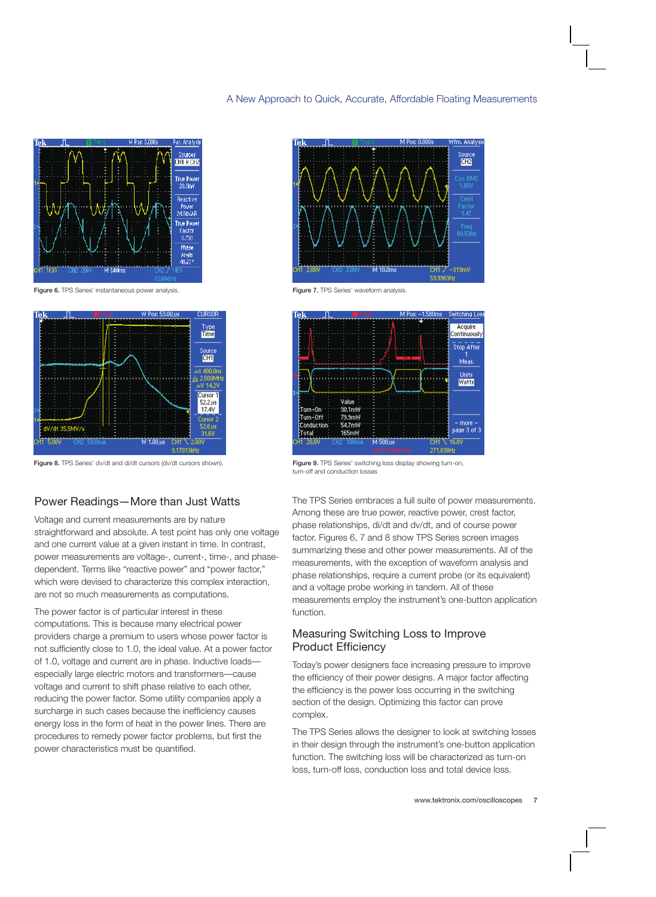

Figure 6. TPS Series' instantaneous power analysis.



Figure 8. TPS Series' dv/dt and di/dt cursors (dv/dt cursors shown).

#### Power Readings—More than Just Watts

Voltage and current measurements are by nature straightforward and absolute. A test point has only one voltage and one current value at a given instant in time. In contrast, power measurements are voltage-, current-, time-, and phasedependent. Terms like "reactive power" and "power factor," which were devised to characterize this complex interaction, are not so much measurements as computations.

The power factor is of particular interest in these computations. This is because many electrical power providers charge a premium to users whose power factor is not sufficiently close to 1.0, the ideal value. At a power factor of 1.0, voltage and current are in phase. Inductive loads especially large electric motors and transformers—cause voltage and current to shift phase relative to each other, reducing the power factor. Some utility companies apply a surcharge in such cases because the inefficiency causes energy loss in the form of heat in the power lines. There are procedures to remedy power factor problems, but first the power characteristics must be quantified.



Figure 7. TPS Series' waveform analysis.



Figure 9. TPS Series' switching loss display showing turn-on, turn-off and conduction losses

The TPS Series embraces a full suite of power measurements. Among these are true power, reactive power, crest factor, phase relationships, di/dt and dv/dt, and of course power factor. Figures 6, 7 and 8 show TPS Series screen images summarizing these and other power measurements. All of the measurements, with the exception of waveform analysis and phase relationships, require a current probe (or its equivalent) and a voltage probe working in tandem. All of these measurements employ the instrument's one-button application function.

#### Measuring Switching Loss to Improve Product Efficiency

Today's power designers face increasing pressure to improve the efficiency of their power designs. A major factor affecting the efficiency is the power loss occurring in the switching section of the design. Optimizing this factor can prove complex.

The TPS Series allows the designer to look at switching losses in their design through the instrument's one-button application function. The switching loss will be characterized as turn-on loss, turn-off loss, conduction loss and total device loss.